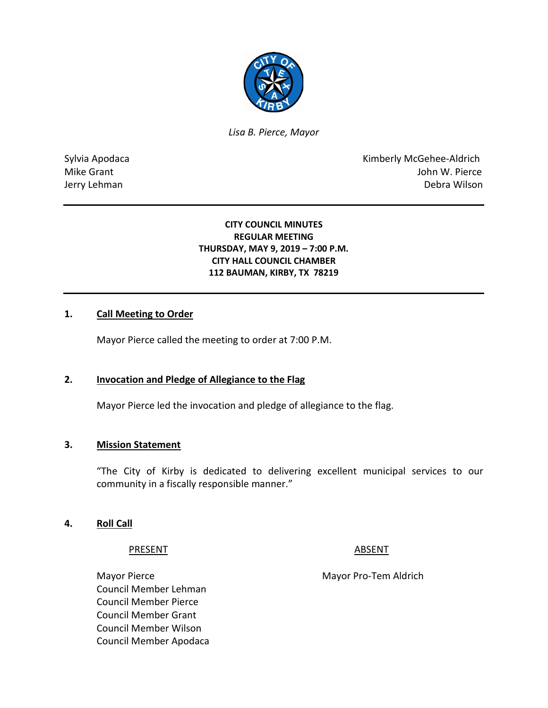

*Lisa B. Pierce, Mayor* 

Sylvia Apodaca **Kimberly McGehee-Aldrich** Mike Grant **Mike Grant** John W. Pierce Jerry Lehman Debra Wilson

## **CITY COUNCIL MINUTES REGULAR MEETING THURSDAY, MAY 9, 2019 – 7:00 P.M. CITY HALL COUNCIL CHAMBER 112 BAUMAN, KIRBY, TX 78219**

## **1. Call Meeting to Order**

Mayor Pierce called the meeting to order at 7:00 P.M.

#### **2. Invocation and Pledge of Allegiance to the Flag**

Mayor Pierce led the invocation and pledge of allegiance to the flag.

#### **3. Mission Statement**

"The City of Kirby is dedicated to delivering excellent municipal services to our community in a fiscally responsible manner."

#### **4. Roll Call**

#### PRESENT ABSENT

Mayor Pierce Mayor Pro-Tem Aldrich Council Member Lehman Council Member Pierce Council Member Grant Council Member Wilson Council Member Apodaca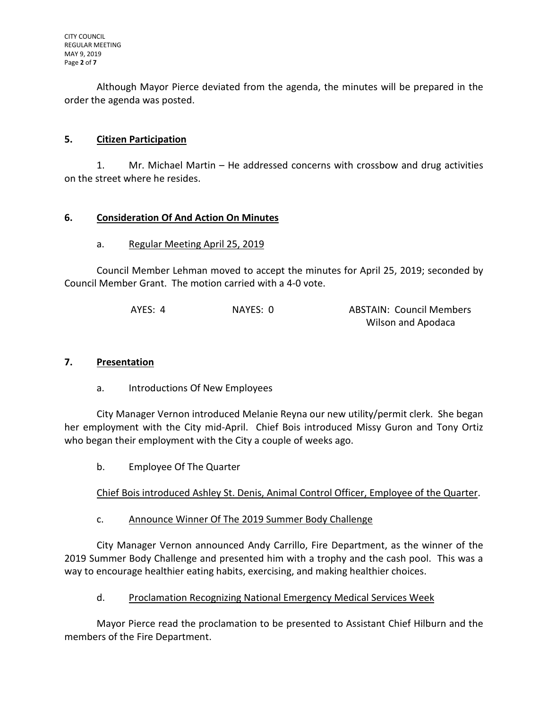Although Mayor Pierce deviated from the agenda, the minutes will be prepared in the order the agenda was posted.

# **5. Citizen Participation**

1. Mr. Michael Martin – He addressed concerns with crossbow and drug activities on the street where he resides.

# **6. Consideration Of And Action On Minutes**

# a. Regular Meeting April 25, 2019

Council Member Lehman moved to accept the minutes for April 25, 2019; seconded by Council Member Grant. The motion carried with a 4-0 vote.

| AYES: 4 | NAYES: 0 | <b>ABSTAIN: Council Members</b> |
|---------|----------|---------------------------------|
|         |          | Wilson and Apodaca              |

## **7. Presentation**

a. Introductions Of New Employees

City Manager Vernon introduced Melanie Reyna our new utility/permit clerk. She began her employment with the City mid-April. Chief Bois introduced Missy Guron and Tony Ortiz who began their employment with the City a couple of weeks ago.

b. Employee Of The Quarter

Chief Bois introduced Ashley St. Denis, Animal Control Officer, Employee of the Quarter.

c. Announce Winner Of The 2019 Summer Body Challenge

City Manager Vernon announced Andy Carrillo, Fire Department, as the winner of the 2019 Summer Body Challenge and presented him with a trophy and the cash pool. This was a way to encourage healthier eating habits, exercising, and making healthier choices.

d. Proclamation Recognizing National Emergency Medical Services Week

Mayor Pierce read the proclamation to be presented to Assistant Chief Hilburn and the members of the Fire Department.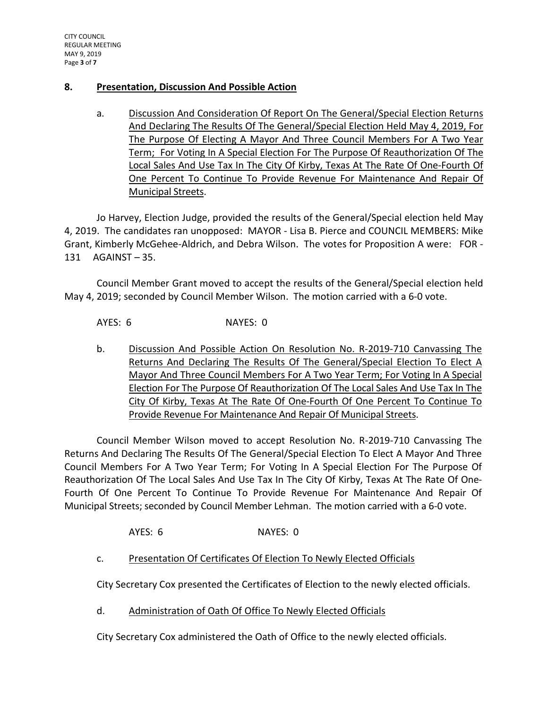# **8. Presentation, Discussion And Possible Action**

a. Discussion And Consideration Of Report On The General/Special Election Returns And Declaring The Results Of The General/Special Election Held May 4, 2019, For The Purpose Of Electing A Mayor And Three Council Members For A Two Year Term; For Voting In A Special Election For The Purpose Of Reauthorization Of The Local Sales And Use Tax In The City Of Kirby, Texas At The Rate Of One-Fourth Of One Percent To Continue To Provide Revenue For Maintenance And Repair Of Municipal Streets.

Jo Harvey, Election Judge, provided the results of the General/Special election held May 4, 2019. The candidates ran unopposed: MAYOR - Lisa B. Pierce and COUNCIL MEMBERS: Mike Grant, Kimberly McGehee-Aldrich, and Debra Wilson. The votes for Proposition A were: FOR - 131 AGAINST – 35.

Council Member Grant moved to accept the results of the General/Special election held May 4, 2019; seconded by Council Member Wilson. The motion carried with a 6-0 vote.

AYES: 6 NAYES: 0

b. Discussion And Possible Action On Resolution No. R-2019-710 Canvassing The Returns And Declaring The Results Of The General/Special Election To Elect A Mayor And Three Council Members For A Two Year Term; For Voting In A Special Election For The Purpose Of Reauthorization Of The Local Sales And Use Tax In The City Of Kirby, Texas At The Rate Of One-Fourth Of One Percent To Continue To Provide Revenue For Maintenance And Repair Of Municipal Streets.

Council Member Wilson moved to accept Resolution No. R-2019-710 Canvassing The Returns And Declaring The Results Of The General/Special Election To Elect A Mayor And Three Council Members For A Two Year Term; For Voting In A Special Election For The Purpose Of Reauthorization Of The Local Sales And Use Tax In The City Of Kirby, Texas At The Rate Of One-Fourth Of One Percent To Continue To Provide Revenue For Maintenance And Repair Of Municipal Streets; seconded by Council Member Lehman. The motion carried with a 6-0 vote.

AYES: 6 NAYES: 0

c. Presentation Of Certificates Of Election To Newly Elected Officials

City Secretary Cox presented the Certificates of Election to the newly elected officials.

d. Administration of Oath Of Office To Newly Elected Officials

City Secretary Cox administered the Oath of Office to the newly elected officials.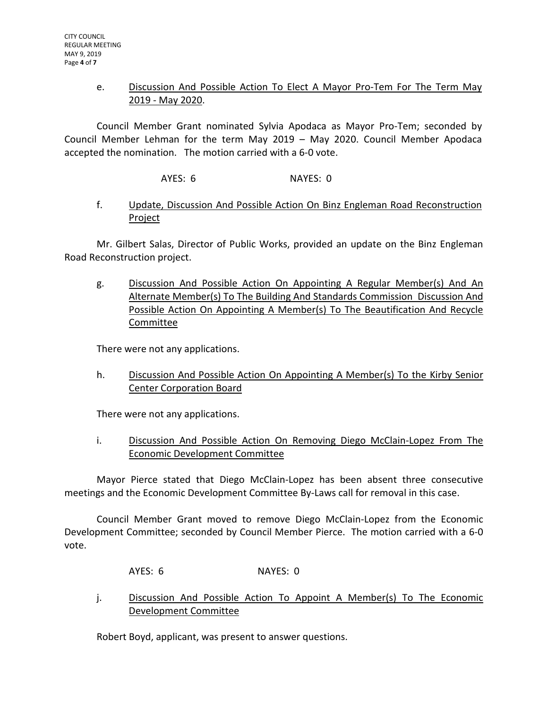# e. Discussion And Possible Action To Elect A Mayor Pro-Tem For The Term May 2019 - May 2020.

Council Member Grant nominated Sylvia Apodaca as Mayor Pro-Tem; seconded by Council Member Lehman for the term May 2019 – May 2020. Council Member Apodaca accepted the nomination. The motion carried with a 6-0 vote.

AYES: 6 NAYES: 0

# f. Update, Discussion And Possible Action On Binz Engleman Road Reconstruction Project

Mr. Gilbert Salas, Director of Public Works, provided an update on the Binz Engleman Road Reconstruction project.

g. Discussion And Possible Action On Appointing A Regular Member(s) And An Alternate Member(s) To The Building And Standards Commission Discussion And Possible Action On Appointing A Member(s) To The Beautification And Recycle Committee

There were not any applications.

h. Discussion And Possible Action On Appointing A Member(s) To the Kirby Senior Center Corporation Board

There were not any applications.

i. Discussion And Possible Action On Removing Diego McClain-Lopez From The Economic Development Committee

Mayor Pierce stated that Diego McClain-Lopez has been absent three consecutive meetings and the Economic Development Committee By-Laws call for removal in this case.

Council Member Grant moved to remove Diego McClain-Lopez from the Economic Development Committee; seconded by Council Member Pierce. The motion carried with a 6-0 vote.

AYES: 6 NAYES: 0

j. Discussion And Possible Action To Appoint A Member(s) To The Economic Development Committee

Robert Boyd, applicant, was present to answer questions.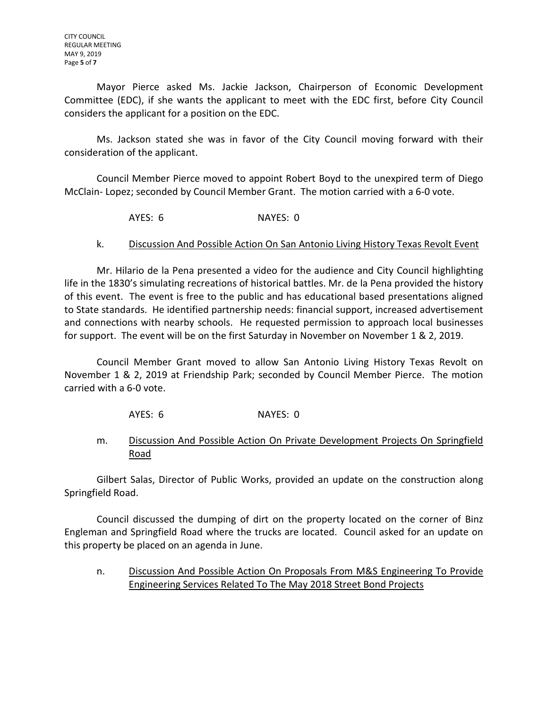Mayor Pierce asked Ms. Jackie Jackson, Chairperson of Economic Development Committee (EDC), if she wants the applicant to meet with the EDC first, before City Council considers the applicant for a position on the EDC.

Ms. Jackson stated she was in favor of the City Council moving forward with their consideration of the applicant.

Council Member Pierce moved to appoint Robert Boyd to the unexpired term of Diego McClain- Lopez; seconded by Council Member Grant. The motion carried with a 6-0 vote.

AYES: 6 NAYES: 0

# k. Discussion And Possible Action On San Antonio Living History Texas Revolt Event

Mr. Hilario de la Pena presented a video for the audience and City Council highlighting life in the 1830's simulating recreations of historical battles. Mr. de la Pena provided the history of this event. The event is free to the public and has educational based presentations aligned to State standards. He identified partnership needs: financial support, increased advertisement and connections with nearby schools. He requested permission to approach local businesses for support. The event will be on the first Saturday in November on November 1 & 2, 2019.

Council Member Grant moved to allow San Antonio Living History Texas Revolt on November 1 & 2, 2019 at Friendship Park; seconded by Council Member Pierce. The motion carried with a 6-0 vote.

AYES: 6 NAYES: 0

m. Discussion And Possible Action On Private Development Projects On Springfield Road

Gilbert Salas, Director of Public Works, provided an update on the construction along Springfield Road.

Council discussed the dumping of dirt on the property located on the corner of Binz Engleman and Springfield Road where the trucks are located. Council asked for an update on this property be placed on an agenda in June.

n. Discussion And Possible Action On Proposals From M&S Engineering To Provide Engineering Services Related To The May 2018 Street Bond Projects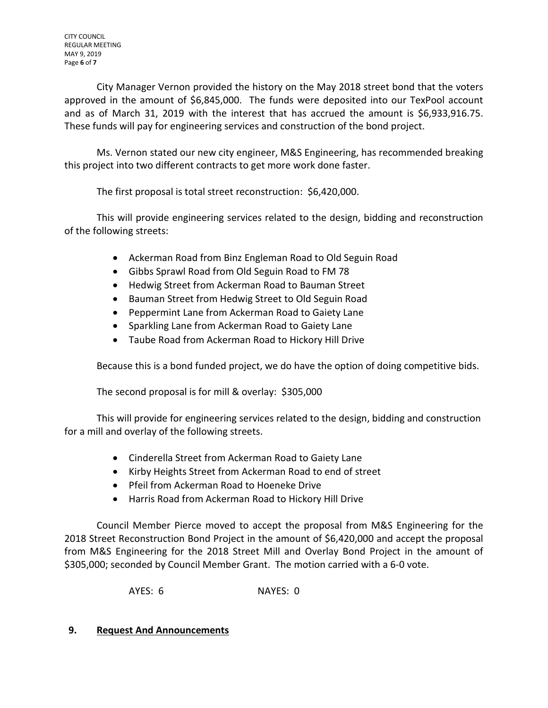City Manager Vernon provided the history on the May 2018 street bond that the voters approved in the amount of \$6,845,000. The funds were deposited into our TexPool account and as of March 31, 2019 with the interest that has accrued the amount is \$6,933,916.75. These funds will pay for engineering services and construction of the bond project.

Ms. Vernon stated our new city engineer, M&S Engineering, has recommended breaking this project into two different contracts to get more work done faster.

The first proposal is total street reconstruction: \$6,420,000.

This will provide engineering services related to the design, bidding and reconstruction of the following streets:

- Ackerman Road from Binz Engleman Road to Old Seguin Road
- Gibbs Sprawl Road from Old Seguin Road to FM 78
- Hedwig Street from Ackerman Road to Bauman Street
- Bauman Street from Hedwig Street to Old Seguin Road
- Peppermint Lane from Ackerman Road to Gaiety Lane
- Sparkling Lane from Ackerman Road to Gaiety Lane
- Taube Road from Ackerman Road to Hickory Hill Drive

Because this is a bond funded project, we do have the option of doing competitive bids.

The second proposal is for mill & overlay: \$305,000

This will provide for engineering services related to the design, bidding and construction for a mill and overlay of the following streets.

- Cinderella Street from Ackerman Road to Gaiety Lane
- Kirby Heights Street from Ackerman Road to end of street
- Pfeil from Ackerman Road to Hoeneke Drive
- Harris Road from Ackerman Road to Hickory Hill Drive

Council Member Pierce moved to accept the proposal from M&S Engineering for the 2018 Street Reconstruction Bond Project in the amount of \$6,420,000 and accept the proposal from M&S Engineering for the 2018 Street Mill and Overlay Bond Project in the amount of \$305,000; seconded by Council Member Grant. The motion carried with a 6-0 vote.

AYES: 6 NAYES: 0

## **9. Request And Announcements**